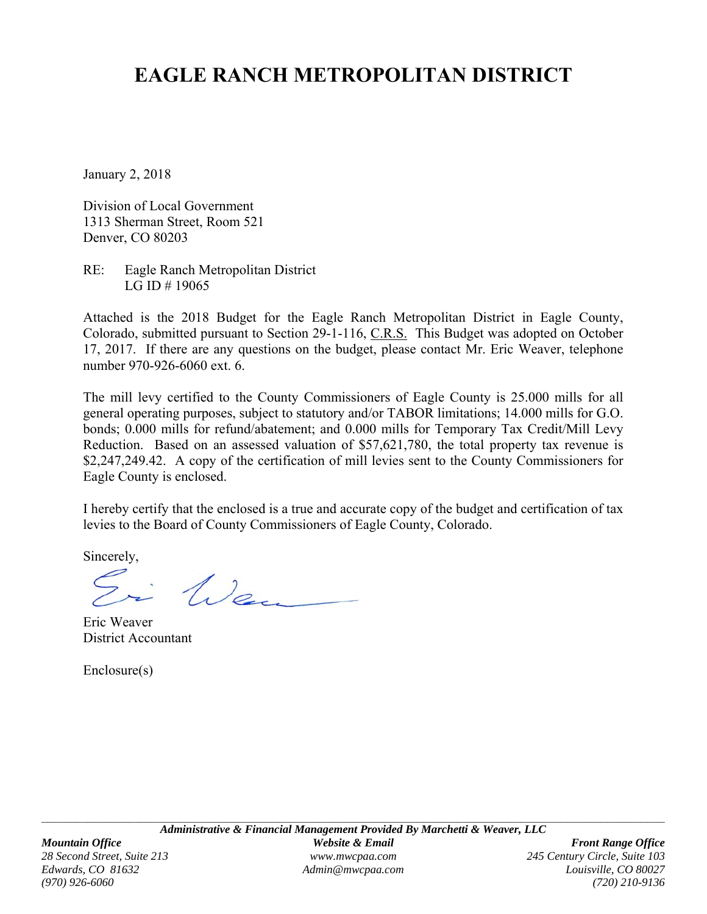## **EAGLE RANCH METROPOLITAN DISTRICT**

January 2, 2018

Division of Local Government 1313 Sherman Street, Room 521 Denver, CO 80203

RE: Eagle Ranch Metropolitan District LG ID # 19065

Attached is the 2018 Budget for the Eagle Ranch Metropolitan District in Eagle County, Colorado, submitted pursuant to Section 29-1-116, C.R.S. This Budget was adopted on October 17, 2017. If there are any questions on the budget, please contact Mr. Eric Weaver, telephone number 970-926-6060 ext. 6.

The mill levy certified to the County Commissioners of Eagle County is 25.000 mills for all general operating purposes, subject to statutory and/or TABOR limitations; 14.000 mills for G.O. bonds; 0.000 mills for refund/abatement; and 0.000 mills for Temporary Tax Credit/Mill Levy Reduction. Based on an assessed valuation of \$57,621,780, the total property tax revenue is \$2,247,249.42. A copy of the certification of mill levies sent to the County Commissioners for Eagle County is enclosed.

I hereby certify that the enclosed is a true and accurate copy of the budget and certification of tax levies to the Board of County Commissioners of Eagle County, Colorado.

Sincerely,

Wen

Eric Weaver District Accountant

Enclosure(s)

*Edwards, CO 81632 Admin@mwcpaa.com Louisville, CO 80027 (970) 926-6060 (720) 210-9136*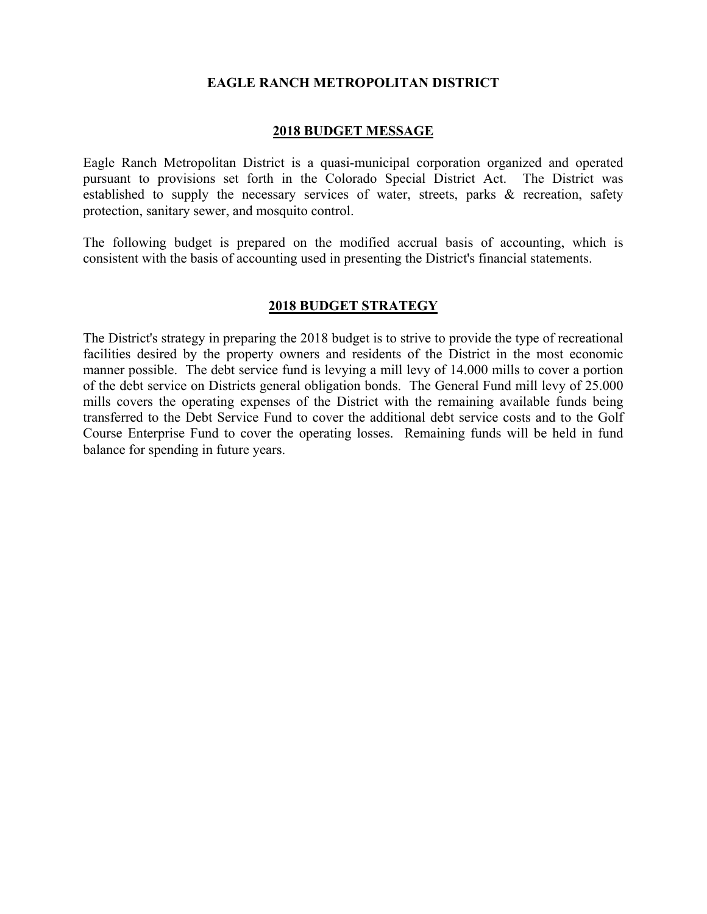#### **EAGLE RANCH METROPOLITAN DISTRICT**

#### **2018 BUDGET MESSAGE**

Eagle Ranch Metropolitan District is a quasi-municipal corporation organized and operated pursuant to provisions set forth in the Colorado Special District Act. The District was established to supply the necessary services of water, streets, parks & recreation, safety protection, sanitary sewer, and mosquito control.

The following budget is prepared on the modified accrual basis of accounting, which is consistent with the basis of accounting used in presenting the District's financial statements.

#### **2018 BUDGET STRATEGY**

The District's strategy in preparing the 2018 budget is to strive to provide the type of recreational facilities desired by the property owners and residents of the District in the most economic manner possible. The debt service fund is levying a mill levy of 14.000 mills to cover a portion of the debt service on Districts general obligation bonds. The General Fund mill levy of 25.000 mills covers the operating expenses of the District with the remaining available funds being transferred to the Debt Service Fund to cover the additional debt service costs and to the Golf Course Enterprise Fund to cover the operating losses. Remaining funds will be held in fund balance for spending in future years.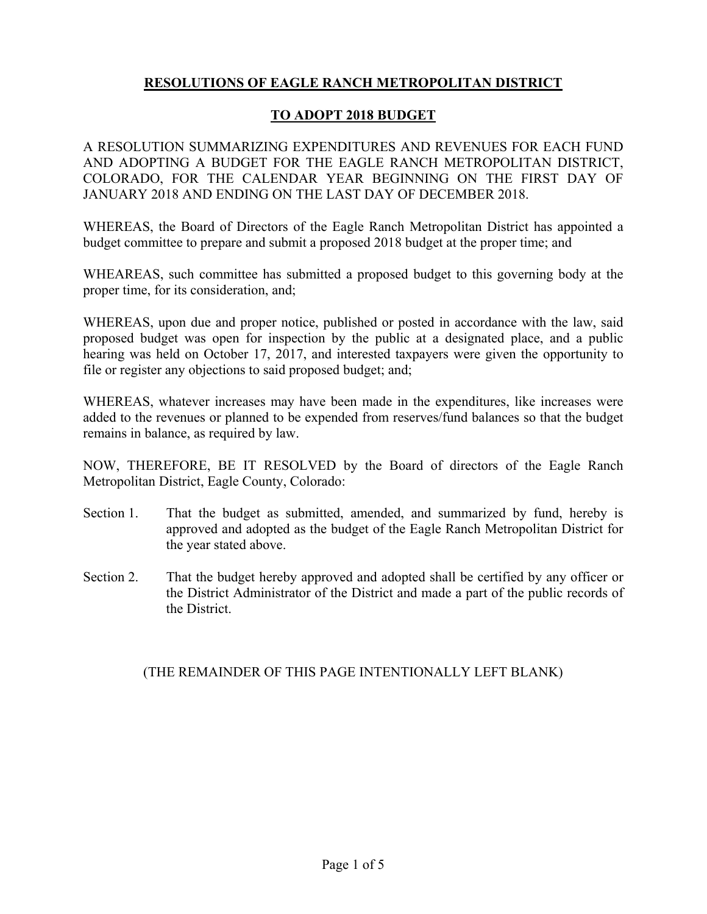#### **RESOLUTIONS OF EAGLE RANCH METROPOLITAN DISTRICT**

#### **TO ADOPT 2018 BUDGET**

A RESOLUTION SUMMARIZING EXPENDITURES AND REVENUES FOR EACH FUND AND ADOPTING A BUDGET FOR THE EAGLE RANCH METROPOLITAN DISTRICT, COLORADO, FOR THE CALENDAR YEAR BEGINNING ON THE FIRST DAY OF JANUARY 2018 AND ENDING ON THE LAST DAY OF DECEMBER 2018.

WHEREAS, the Board of Directors of the Eagle Ranch Metropolitan District has appointed a budget committee to prepare and submit a proposed 2018 budget at the proper time; and

WHEAREAS, such committee has submitted a proposed budget to this governing body at the proper time, for its consideration, and;

WHEREAS, upon due and proper notice, published or posted in accordance with the law, said proposed budget was open for inspection by the public at a designated place, and a public hearing was held on October 17, 2017, and interested taxpayers were given the opportunity to file or register any objections to said proposed budget; and;

WHEREAS, whatever increases may have been made in the expenditures, like increases were added to the revenues or planned to be expended from reserves/fund balances so that the budget remains in balance, as required by law.

NOW, THEREFORE, BE IT RESOLVED by the Board of directors of the Eagle Ranch Metropolitan District, Eagle County, Colorado:

- Section 1. That the budget as submitted, amended, and summarized by fund, hereby is approved and adopted as the budget of the Eagle Ranch Metropolitan District for the year stated above.
- Section 2. That the budget hereby approved and adopted shall be certified by any officer or the District Administrator of the District and made a part of the public records of the District.

#### (THE REMAINDER OF THIS PAGE INTENTIONALLY LEFT BLANK)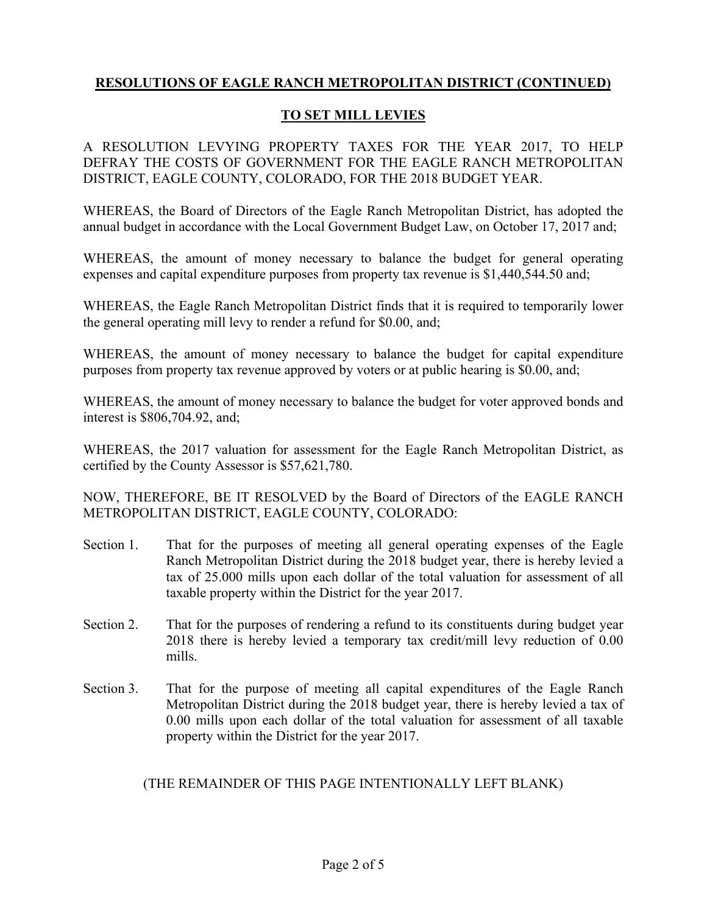#### **TO SET MILL LEVIES**

A RESOLUTION LEVYING PROPERTY TAXES FOR THE YEAR 2017, TO HELP DEFRAY THE COSTS OF GOVERNMENT FOR THE EAGLE RANCH METROPOLITAN DISTRICT, EAGLE COUNTY, COLORADO, FOR THE 2018 BUDGET YEAR.

WHEREAS, the Board of Directors of the Eagle Ranch Metropolitan District, has adopted the annual budget in accordance with the Local Government Budget Law, on October 17, 2017 and;

WHEREAS, the amount of money necessary to balance the budget for general operating expenses and capital expenditure purposes from property tax revenue is \$1,440,544.50 and;

WHEREAS, the Eagle Ranch Metropolitan District finds that it is required to temporarily lower the general operating mill levy to render a refund for \$0.00, and;

WHEREAS, the amount of money necessary to balance the budget for capital expenditure purposes from property tax revenue approved by voters or at public hearing is \$0.00, and;

WHEREAS, the amount of money necessary to balance the budget for voter approved bonds and interest is \$806,704.92, and;

WHEREAS, the 2017 valuation for assessment for the Eagle Ranch Metropolitan District, as certified by the County Assessor is \$57,621,780.

NOW, THEREFORE, BE IT RESOLVED by the Board of Directors of the EAGLE RANCH METROPOLITAN DISTRICT, EAGLE COUNTY, COLORADO:

- Section 1. That for the purposes of meeting all general operating expenses of the Eagle Ranch Metropolitan District during the 2018 budget year, there is hereby levied a tax of 25.000 mills upon each dollar of the total valuation for assessment of all taxable property within the District for the year 2017.
- Section 2. That for the purposes of rendering a refund to its constituents during budget year 2018 there is hereby levied a temporary tax credit/mill levy reduction of 0.00 mills.
- Section 3. That for the purpose of meeting all capital expenditures of the Eagle Ranch Metropolitan District during the 2018 budget year, there is hereby levied a tax of 0.00 mills upon each dollar of the total valuation for assessment of all taxable property within the District for the year 2017.

(THE REMAINDER OF THIS PAGE INTENTIONALLY LEFT BLANK)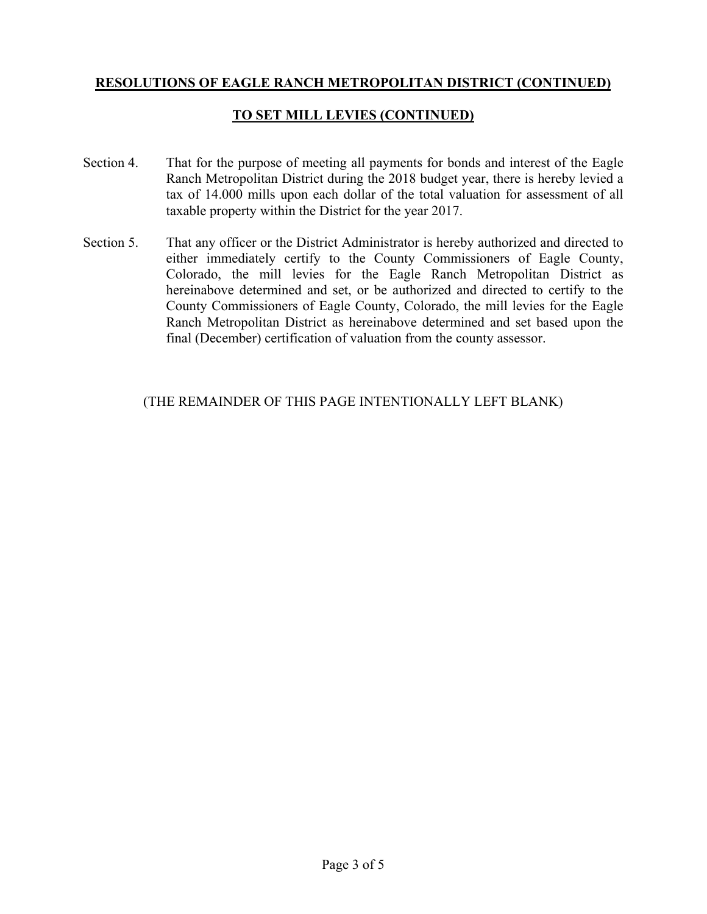#### **TO SET MILL LEVIES (CONTINUED)**

- Section 4. That for the purpose of meeting all payments for bonds and interest of the Eagle Ranch Metropolitan District during the 2018 budget year, there is hereby levied a tax of 14.000 mills upon each dollar of the total valuation for assessment of all taxable property within the District for the year 2017.
- Section 5. That any officer or the District Administrator is hereby authorized and directed to either immediately certify to the County Commissioners of Eagle County, Colorado, the mill levies for the Eagle Ranch Metropolitan District as hereinabove determined and set, or be authorized and directed to certify to the County Commissioners of Eagle County, Colorado, the mill levies for the Eagle Ranch Metropolitan District as hereinabove determined and set based upon the final (December) certification of valuation from the county assessor.

#### (THE REMAINDER OF THIS PAGE INTENTIONALLY LEFT BLANK)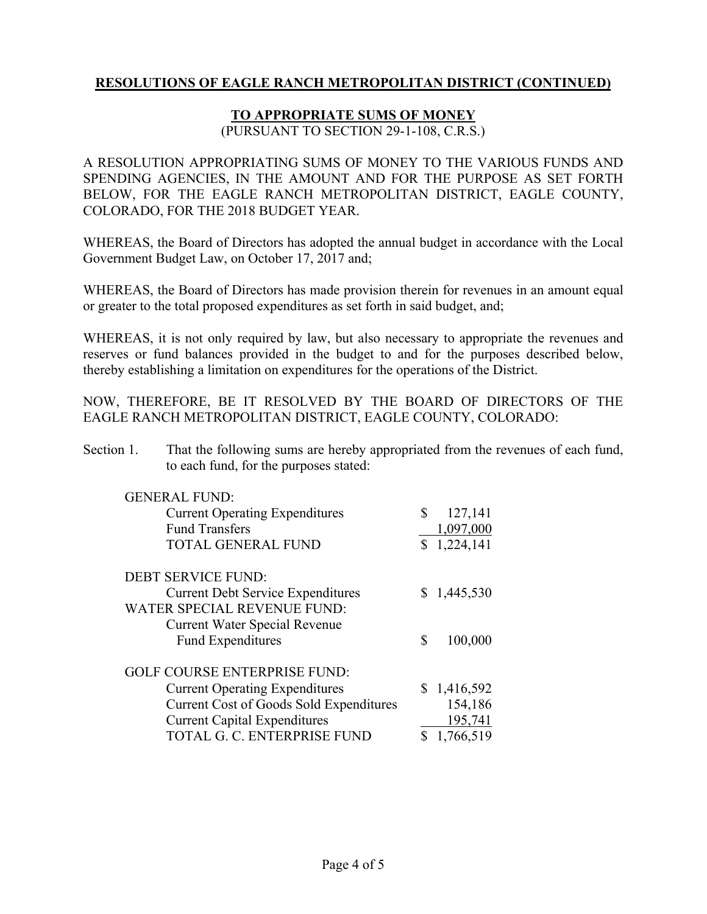#### **TO APPROPRIATE SUMS OF MONEY**

(PURSUANT TO SECTION 29-1-108, C.R.S.)

A RESOLUTION APPROPRIATING SUMS OF MONEY TO THE VARIOUS FUNDS AND SPENDING AGENCIES, IN THE AMOUNT AND FOR THE PURPOSE AS SET FORTH BELOW, FOR THE EAGLE RANCH METROPOLITAN DISTRICT, EAGLE COUNTY, COLORADO, FOR THE 2018 BUDGET YEAR.

WHEREAS, the Board of Directors has adopted the annual budget in accordance with the Local Government Budget Law, on October 17, 2017 and;

WHEREAS, the Board of Directors has made provision therein for revenues in an amount equal or greater to the total proposed expenditures as set forth in said budget, and;

WHEREAS, it is not only required by law, but also necessary to appropriate the revenues and reserves or fund balances provided in the budget to and for the purposes described below, thereby establishing a limitation on expenditures for the operations of the District.

NOW, THEREFORE, BE IT RESOLVED BY THE BOARD OF DIRECTORS OF THE EAGLE RANCH METROPOLITAN DISTRICT, EAGLE COUNTY, COLORADO:

Section 1. That the following sums are hereby appropriated from the revenues of each fund, to each fund, for the purposes stated:

| <b>GENERAL FUND:</b><br><b>Current Operating Expenditures</b><br><b>Fund Transfers</b> | \$<br>127,141<br>1,097,000 |
|----------------------------------------------------------------------------------------|----------------------------|
| <b>TOTAL GENERAL FUND</b>                                                              | \$1,224,141                |
| <b>DEBT SERVICE FUND:</b>                                                              |                            |
| <b>Current Debt Service Expenditures</b>                                               | \$1,445,530                |
| <b>WATER SPECIAL REVENUE FUND:</b>                                                     |                            |
| <b>Current Water Special Revenue</b>                                                   |                            |
| <b>Fund Expenditures</b>                                                               | \$<br>100,000              |
| <b>GOLF COURSE ENTERPRISE FUND:</b>                                                    |                            |
| <b>Current Operating Expenditures</b>                                                  | \$1,416,592                |
| <b>Current Cost of Goods Sold Expenditures</b>                                         | 154,186                    |
| <b>Current Capital Expenditures</b>                                                    | 195,741                    |
| TOTAL G. C. ENTERPRISE FUND                                                            | 1,766,519                  |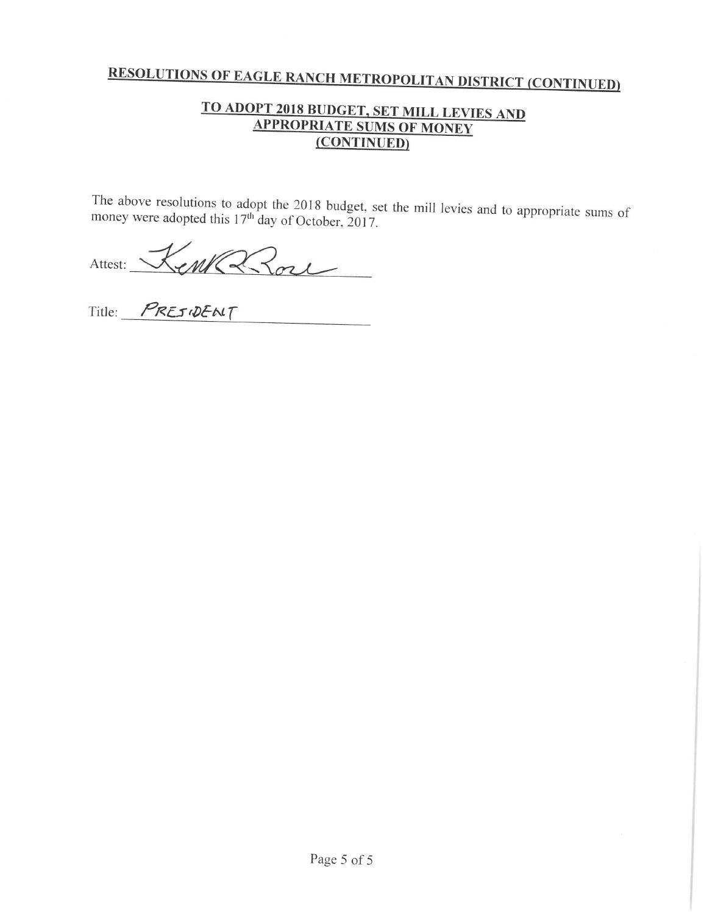#### TO ADOPT 2018 BUDGET, SET MILL LEVIES AND **APPROPRIATE SUMS OF MONEY** (CONTINUED)

The above resolutions to adopt the 2018 budget, set the mill levies and to appropriate sums of money were adopted this 17<sup>th</sup> day of October, 2017.

Attest: KenKa Rose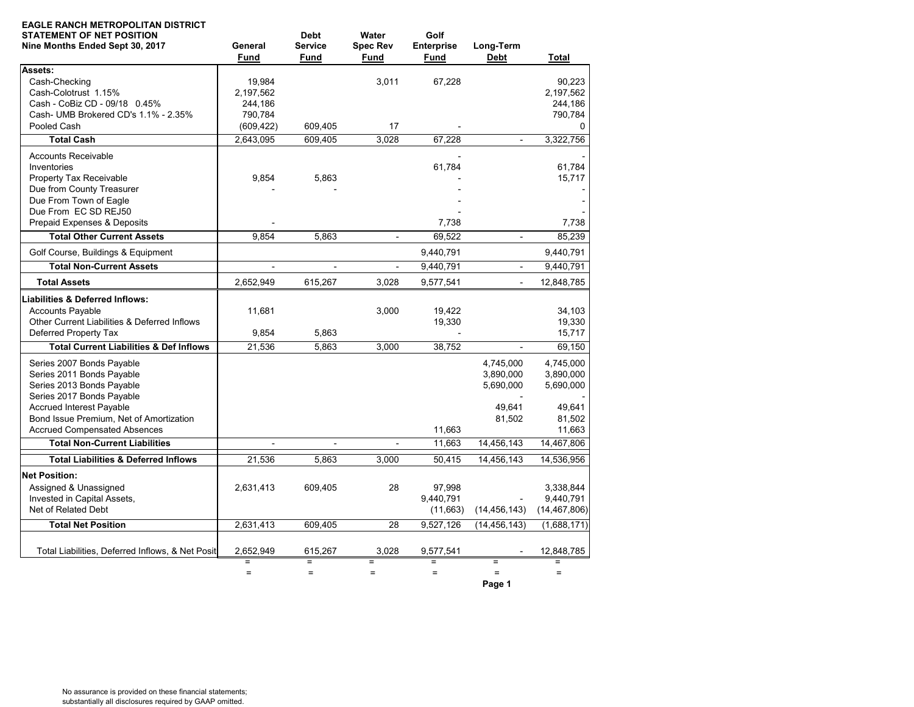| <b>EAGLE RANCH METROPOLITAN DISTRICT</b><br><b>STATEMENT OF NET POSITION</b><br>Nine Months Ended Sept 30, 2017                                     | General<br>Fund                | <b>Debt</b><br><b>Service</b><br>Fund | Water<br><b>Spec Rev</b><br>Fund | Golf<br><b>Enterprise</b><br>Fund | Long-Term<br><b>Debt</b>            | Total                                    |
|-----------------------------------------------------------------------------------------------------------------------------------------------------|--------------------------------|---------------------------------------|----------------------------------|-----------------------------------|-------------------------------------|------------------------------------------|
| Assets:<br>Cash-Checking<br>Cash-Colotrust 1.15%<br>Cash - CoBiz CD - 09/18 0.45%                                                                   | 19,984<br>2,197,562<br>244.186 |                                       | 3,011                            | 67,228                            |                                     | 90,223<br>2,197,562<br>244.186           |
| Cash- UMB Brokered CD's 1.1% - 2.35%<br>Pooled Cash                                                                                                 | 790,784<br>(609, 422)          | 609,405                               | 17                               |                                   |                                     | 790,784<br>$\Omega$                      |
| <b>Total Cash</b>                                                                                                                                   | 2.643.095                      | 609.405                               | 3.028                            | 67.228                            |                                     | 3,322,756                                |
| <b>Accounts Receivable</b><br>Inventories<br>Property Tax Receivable<br>Due from County Treasurer<br>Due From Town of Eagle<br>Due From EC SD REJ50 | 9,854                          | 5,863                                 |                                  | 61,784                            |                                     | 61.784<br>15,717                         |
| Prepaid Expenses & Deposits                                                                                                                         |                                |                                       |                                  | 7,738                             |                                     | 7,738                                    |
| <b>Total Other Current Assets</b>                                                                                                                   | 9,854                          | 5,863                                 | $\mathbf{r}$                     | 69,522                            | $\mathbf{r}$                        | 85,239                                   |
| Golf Course, Buildings & Equipment                                                                                                                  |                                |                                       |                                  | 9,440,791                         |                                     | 9,440,791                                |
| <b>Total Non-Current Assets</b>                                                                                                                     | $\overline{a}$                 | $\frac{1}{2}$                         | $\blacksquare$                   | 9.440.791                         | $\blacksquare$                      | 9,440,791                                |
| <b>Total Assets</b>                                                                                                                                 | 2,652,949                      | 615,267                               | 3,028                            | 9,577,541                         | $\overline{a}$                      | 12,848,785                               |
| <b>Liabilities &amp; Deferred Inflows:</b><br><b>Accounts Payable</b><br>Other Current Liabilities & Deferred Inflows                               | 11,681                         |                                       | 3,000                            | 19,422<br>19,330                  |                                     | 34,103<br>19,330                         |
| Deferred Property Tax                                                                                                                               | 9,854                          | 5,863                                 |                                  |                                   |                                     | 15,717                                   |
| <b>Total Current Liabilities &amp; Def Inflows</b>                                                                                                  | 21,536                         | 5,863                                 | 3,000                            | 38,752                            | $\blacksquare$                      | 69,150                                   |
| Series 2007 Bonds Payable<br>Series 2011 Bonds Payable<br>Series 2013 Bonds Payable<br>Series 2017 Bonds Payable                                    |                                |                                       |                                  |                                   | 4,745,000<br>3,890,000<br>5,690,000 | 4,745,000<br>3,890,000<br>5,690,000      |
| <b>Accrued Interest Payable</b><br>Bond Issue Premium, Net of Amortization<br><b>Accrued Compensated Absences</b>                                   |                                |                                       |                                  | 11,663                            | 49.641<br>81,502                    | 49.641<br>81,502<br>11,663               |
| <b>Total Non-Current Liabilities</b>                                                                                                                | $\blacksquare$                 | $\sim$                                | $\blacksquare$                   | 11,663                            | 14,456,143                          | 14,467,806                               |
| <b>Total Liabilities &amp; Deferred Inflows</b>                                                                                                     | 21,536                         | 5,863                                 | 3,000                            | 50,415                            | 14,456,143                          | 14,536,956                               |
| <b>Net Position:</b>                                                                                                                                |                                |                                       |                                  |                                   |                                     |                                          |
| Assigned & Unassigned<br>Invested in Capital Assets,<br>Net of Related Debt                                                                         | 2,631,413                      | 609,405                               | 28                               | 97,998<br>9,440,791<br>(11,663)   | (14, 456, 143)                      | 3,338,844<br>9,440,791<br>(14, 467, 806) |
| <b>Total Net Position</b>                                                                                                                           | 2,631,413                      | 609,405                               | 28                               | 9,527,126                         | (14, 456, 143)                      | (1,688,171)                              |
| Total Liabilities, Deferred Inflows, & Net Positi                                                                                                   | 2,652,949                      | 615,267                               | 3,028                            | 9,577,541                         |                                     | 12,848,785                               |
|                                                                                                                                                     | $\equiv$<br>$\equiv$           | Ξ<br>$\equiv$                         | $=$<br>$=$                       | $=$<br>$\equiv$                   | $\equiv$<br>$=$<br>Page 1           | $\equiv$<br>$=$                          |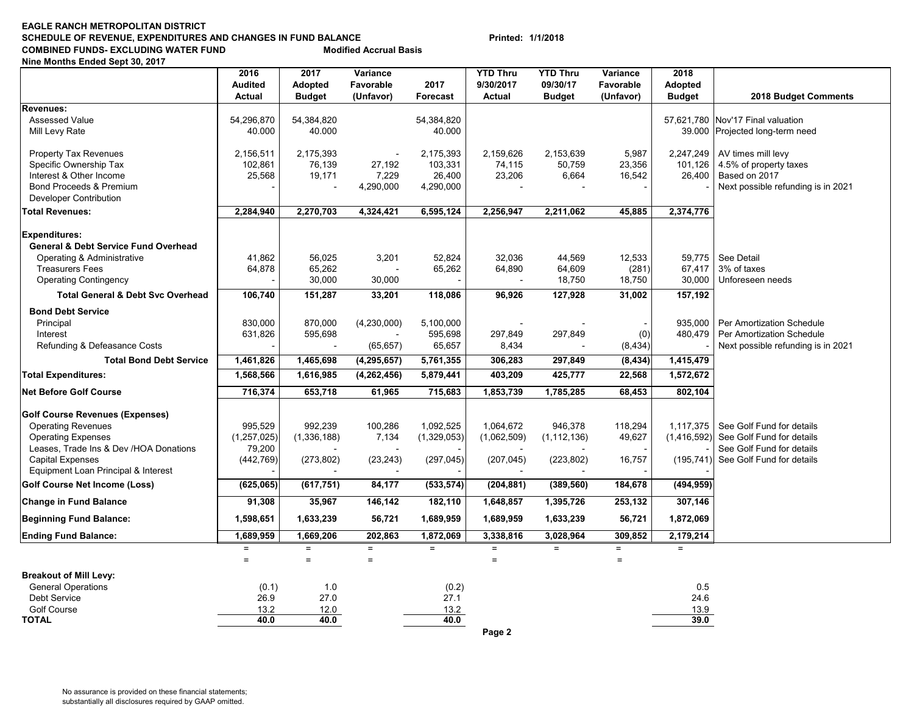#### **EAGLE RANCH METROPOLITAN DISTRICTSCHEDULE OF REVENUE, EXPENDITURES AND CHANGES IN FUND BALANCE Printed: 1/1/2018 COMBINED FUNDS- EXCLUDING WATER FUND Modified Accrual Basis**

**Nine Months Ended Sept 30, 2017**

|                                                                                                       | 2016                            | 2017                     | Variance               |                         | <b>YTD Thru</b>     | <b>YTD Thru</b>           | Variance               | 2018                            |                                                        |
|-------------------------------------------------------------------------------------------------------|---------------------------------|--------------------------|------------------------|-------------------------|---------------------|---------------------------|------------------------|---------------------------------|--------------------------------------------------------|
|                                                                                                       | <b>Audited</b><br><b>Actual</b> | Adopted<br><b>Budget</b> | Favorable<br>(Unfavor) | 2017<br><b>Forecast</b> | 9/30/2017<br>Actual | 09/30/17<br><b>Budget</b> | Favorable<br>(Unfavor) | <b>Adopted</b><br><b>Budget</b> | 2018 Budget Comments                                   |
| <b>Revenues:</b>                                                                                      |                                 |                          |                        |                         |                     |                           |                        |                                 |                                                        |
| <b>Assessed Value</b>                                                                                 | 54,296,870                      | 54,384,820               |                        | 54,384,820              |                     |                           |                        |                                 | 57,621,780 Nov'17 Final valuation                      |
| Mill Levy Rate                                                                                        | 40.000                          | 40.000                   |                        | 40.000                  |                     |                           |                        |                                 | 39.000 Projected long-term need                        |
| <b>Property Tax Revenues</b>                                                                          | 2,156,511                       | 2,175,393                |                        | 2,175,393               | 2,159,626           | 2,153,639                 | 5,987                  | 2,247,249                       | AV times mill levy                                     |
| Specific Ownership Tax                                                                                | 102,861                         | 76,139                   | 27,192                 | 103,331                 | 74,115              | 50,759                    | 23,356                 | 101,126                         | 4.5% of property taxes                                 |
| Interest & Other Income                                                                               | 25,568                          | 19,171                   | 7,229                  | 26,400                  | 23,206              | 6,664                     | 16,542                 | 26,400                          | Based on 2017                                          |
| Bond Proceeds & Premium<br><b>Developer Contribution</b>                                              |                                 |                          | 4,290,000              | 4,290,000               |                     |                           |                        |                                 | Next possible refunding is in 2021                     |
| <b>Total Revenues:</b>                                                                                | 2,284,940                       | 2,270,703                | 4,324,421              | 6,595,124               | 2,256,947           | 2,211,062                 | 45,885                 | 2,374,776                       |                                                        |
| <b>Expenditures:</b><br><b>General &amp; Debt Service Fund Overhead</b><br>Operating & Administrative | 41,862                          | 56,025                   | 3,201                  | 52,824                  | 32,036              | 44,569                    | 12,533                 |                                 | 59,775   See Detail                                    |
| <b>Treasurers Fees</b>                                                                                | 64,878                          | 65,262                   |                        | 65,262                  | 64,890              | 64,609                    | (281)                  | 67,417                          | 3% of taxes                                            |
| <b>Operating Contingency</b>                                                                          |                                 | 30,000                   | 30,000                 |                         |                     | 18,750                    | 18,750                 | 30,000                          | Unforeseen needs                                       |
| <b>Total General &amp; Debt Svc Overhead</b>                                                          | 106,740                         | 151,287                  | 33,201                 | 118,086                 | 96,926              | 127,928                   | 31,002                 | 157,192                         |                                                        |
| <b>Bond Debt Service</b>                                                                              |                                 |                          |                        |                         |                     |                           |                        |                                 |                                                        |
| Principal                                                                                             | 830,000                         | 870,000                  | (4,230,000)            | 5,100,000               |                     |                           |                        | 935,000                         | Per Amortization Schedule                              |
| Interest                                                                                              | 631,826                         | 595,698                  |                        | 595,698                 | 297,849             | 297,849                   | (0)                    | 480,479                         | Per Amortization Schedule                              |
| Refunding & Defeasance Costs                                                                          |                                 |                          | (65, 657)              | 65,657                  | 8,434               |                           | (8, 434)               |                                 | Next possible refunding is in 2021                     |
| <b>Total Bond Debt Service</b>                                                                        | 1,461,826                       | 1,465,698                | (4, 295, 657)          | 5,761,355               | 306,283             | 297,849                   | (8, 434)               | 1,415,479                       |                                                        |
| <b>Total Expenditures:</b>                                                                            | 1,568,566                       | 1,616,985                | (4, 262, 456)          | 5,879,441               | 403,209             | 425,777                   | 22,568                 | 1,572,672                       |                                                        |
| <b>Net Before Golf Course</b>                                                                         | 716,374                         | 653,718                  | 61,965                 | 715,683                 | 1,853,739           | 1,785,285                 | 68,453                 | 802,104                         |                                                        |
| <b>Golf Course Revenues (Expenses)</b>                                                                |                                 |                          |                        |                         |                     |                           |                        |                                 |                                                        |
| <b>Operating Revenues</b>                                                                             | 995,529                         | 992,239                  | 100,286                | 1,092,525               | 1,064,672           | 946,378                   | 118,294                | 1,117,375                       | See Golf Fund for details                              |
| <b>Operating Expenses</b>                                                                             | (1,257,025)                     | (1,336,188)              | 7,134                  | (1,329,053)             | (1,062,509)         | (1, 112, 136)             | 49,627                 | (1, 416, 592)                   | See Golf Fund for details                              |
| Leases, Trade Ins & Dev /HOA Donations<br><b>Capital Expenses</b>                                     | 79,200<br>(442, 769)            | (273, 802)               | (23, 243)              | (297, 045)              | (207, 045)          | (223, 802)                | 16,757                 | (195, 741)                      | See Golf Fund for details<br>See Golf Fund for details |
| Equipment Loan Principal & Interest                                                                   |                                 |                          |                        |                         |                     |                           |                        |                                 |                                                        |
| Golf Course Net Income (Loss)                                                                         | (625,065)                       | (617, 751)               | 84,177                 | (533, 574)              | (204, 881)          | (389, 560)                | 184,678                | (494, 959)                      |                                                        |
| <b>Change in Fund Balance</b>                                                                         | 91,308                          | 35,967                   | 146,142                | 182,110                 | 1,648,857           | 1,395,726                 | 253,132                | 307,146                         |                                                        |
| <b>Beginning Fund Balance:</b>                                                                        | 1,598,651                       | 1,633,239                | 56,721                 | 1,689,959               | 1,689,959           | 1,633,239                 | 56,721                 | 1,872,069                       |                                                        |
| <b>Ending Fund Balance:</b>                                                                           | 1,689,959                       | 1,669,206                | 202,863                | 1,872,069               | 3,338,816           | 3,028,964                 | 309,852                | 2,179,214                       |                                                        |
|                                                                                                       | $\equiv$<br>$=$                 | $\equiv$<br>$=$          | $\equiv$<br>$=$        | $\equiv$                | $\equiv$<br>$=$     | $\equiv$                  | $=$<br>$=$             | $=$                             |                                                        |
| <b>Breakout of Mill Levy:</b>                                                                         |                                 |                          |                        |                         |                     |                           |                        |                                 |                                                        |
| <b>General Operations</b>                                                                             | (0.1)                           | 1.0                      |                        | (0.2)                   |                     |                           |                        | 0.5                             |                                                        |
| Debt Service                                                                                          | 26.9                            | 27.0                     |                        | 27.1                    |                     |                           |                        | 24.6                            |                                                        |
| Golf Course                                                                                           | 13.2                            | 12.0                     |                        | 13.2                    |                     |                           |                        | 13.9                            |                                                        |
| <b>TOTAL</b>                                                                                          | 40.0                            | 40.0                     |                        | 40.0                    |                     |                           |                        | 39.0                            |                                                        |
|                                                                                                       |                                 |                          |                        |                         | Page 2              |                           |                        |                                 |                                                        |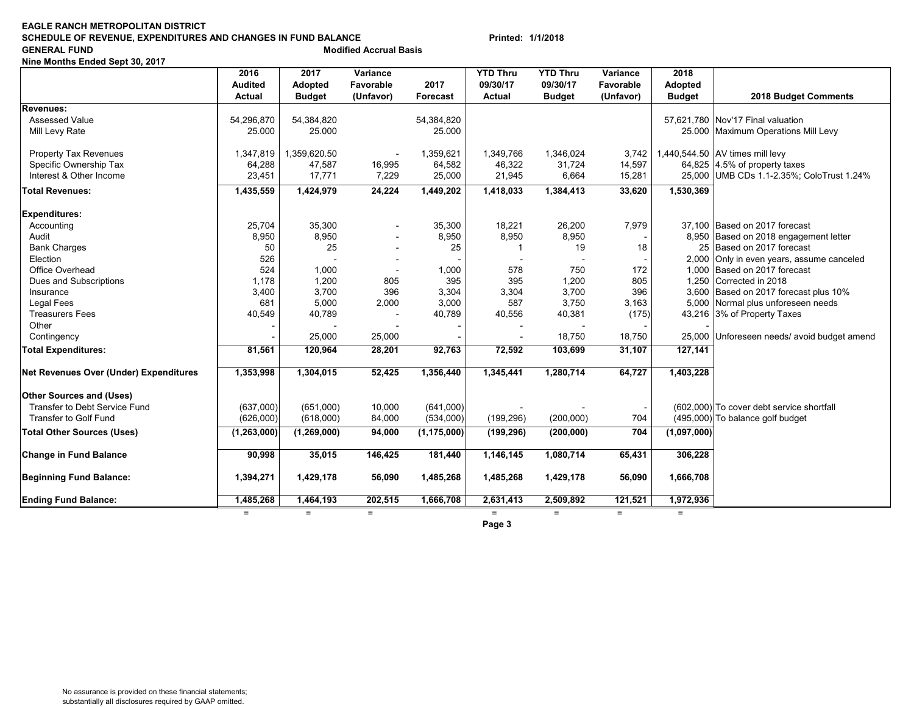#### **EAGLE RANCH METROPOLITAN DISTRICTSCHEDULE OF REVENUE, EXPENDITURES AND CHANGES IN FUND BALANCE Printed: 1/1/2018 GENERAL FUND Modified Accrual Basis**

**Nine Months Ended Sept 30, 2017**

|                                               | 2016           | 2017          | Variance                 |               | <b>YTD Thru</b> | <b>YTD Thru</b> | Variance  | 2018           |                                             |
|-----------------------------------------------|----------------|---------------|--------------------------|---------------|-----------------|-----------------|-----------|----------------|---------------------------------------------|
|                                               | <b>Audited</b> | Adopted       | Favorable                | 2017          | 09/30/17        | 09/30/17        | Favorable | <b>Adopted</b> |                                             |
|                                               | <b>Actual</b>  | <b>Budget</b> | (Unfavor)                | Forecast      | <b>Actual</b>   | <b>Budget</b>   | (Unfavor) | <b>Budget</b>  | 2018 Budget Comments                        |
| Revenues:                                     |                |               |                          |               |                 |                 |           |                |                                             |
| <b>Assessed Value</b>                         | 54,296,870     | 54,384,820    |                          | 54,384,820    |                 |                 |           |                | 57,621,780 Nov'17 Final valuation           |
| Mill Levy Rate                                | 25.000         | 25.000        |                          | 25.000        |                 |                 |           |                | 25.000 Maximum Operations Mill Levy         |
|                                               |                |               |                          |               |                 |                 |           |                |                                             |
| <b>Property Tax Revenues</b>                  | 1,347,819      | 1,359,620.50  |                          | 1,359,621     | 1,349,766       | 1,346,024       | 3,742     |                | 1,440,544.50 AV times mill levy             |
| Specific Ownership Tax                        | 64,288         | 47,587        | 16,995                   | 64,582        | 46,322          | 31,724          | 14,597    |                | 64,825 4.5% of property taxes               |
| Interest & Other Income                       | 23,451         | 17,771        | 7,229                    | 25,000        | 21,945          | 6,664           | 15,281    |                | 25,000 UMB CDs 1.1-2.35%; ColoTrust 1.24%   |
| <b>Total Revenues:</b>                        | 1,435,559      | 1,424,979     | 24,224                   | 1,449,202     | 1,418,033       | 1,384,413       | 33,620    | 1,530,369      |                                             |
| <b>Expenditures:</b>                          |                |               |                          |               |                 |                 |           |                |                                             |
| Accounting                                    | 25,704         | 35,300        |                          | 35,300        | 18,221          | 26,200          | 7,979     |                | 37.100 Based on 2017 forecast               |
| Audit                                         | 8,950          | 8,950         | $\overline{\phantom{a}}$ | 8,950         | 8,950           | 8,950           |           |                | 8,950 Based on 2018 engagement letter       |
| <b>Bank Charges</b>                           | 50             | 25            |                          | 25            | -1              | 19              | 18        |                | 25 Based on 2017 forecast                   |
| Election                                      | 526            |               |                          |               |                 |                 |           |                | 2,000 Only in even years, assume canceled   |
| Office Overhead                               | 524            | 1,000         |                          | 1,000         | 578             | 750             | 172       |                | 1,000 Based on 2017 forecast                |
| Dues and Subscriptions                        | 1,178          | 1,200         | 805                      | 395           | 395             | 1,200           | 805       |                | 1.250 Corrected in 2018                     |
| Insurance                                     | 3,400          | 3,700         | 396                      | 3,304         | 3,304           | 3,700           | 396       |                | 3,600 Based on 2017 forecast plus 10%       |
| <b>Legal Fees</b>                             | 681            | 5,000         | 2,000                    | 3,000         | 587             | 3,750           | 3,163     |                | 5,000 Normal plus unforeseen needs          |
| <b>Treasurers Fees</b>                        | 40,549         | 40,789        |                          | 40,789        | 40,556          | 40,381          | (175)     |                | 43,216 3% of Property Taxes                 |
| Other                                         |                |               |                          |               |                 |                 |           |                |                                             |
| Contingency                                   |                | 25,000        | 25,000                   |               |                 | 18,750          | 18,750    |                | 25,000 Unforeseen needs/ avoid budget amend |
| <b>Total Expenditures:</b>                    | 81,561         | 120,964       | 28,201                   | 92,763        | 72,592          | 103,699         | 31,107    | 127,141        |                                             |
| <b>Net Revenues Over (Under) Expenditures</b> | 1,353,998      | 1,304,015     | 52,425                   | 1,356,440     | 1,345,441       | 1,280,714       | 64,727    | 1,403,228      |                                             |
|                                               |                |               |                          |               |                 |                 |           |                |                                             |
| <b>Other Sources and (Uses)</b>               |                |               |                          |               |                 |                 |           |                |                                             |
| Transfer to Debt Service Fund                 | (637,000)      | (651,000)     | 10,000                   | (641,000)     |                 |                 |           |                | (602,000) To cover debt service shortfall   |
| Transfer to Golf Fund                         | (626,000)      | (618,000)     | 84,000                   | (534,000)     | (199, 296)      | (200,000)       | 704       |                | (495,000) To balance golf budget            |
| <b>Total Other Sources (Uses)</b>             | (1, 263, 000)  | (1, 269, 000) | 94,000                   | (1, 175, 000) | (199, 296)      | (200,000)       | 704       | (1,097,000)    |                                             |
| <b>Change in Fund Balance</b>                 | 90,998         | 35,015        | 146,425                  | 181,440       | 1,146,145       | 1,080,714       | 65,431    | 306,228        |                                             |
| <b>Beginning Fund Balance:</b>                | 1,394,271      | 1,429,178     | 56,090                   | 1,485,268     | 1,485,268       | 1,429,178       | 56,090    | 1,666,708      |                                             |
|                                               |                |               |                          |               |                 |                 |           |                |                                             |
| <b>Ending Fund Balance:</b>                   | 1,485,268      | 1,464,193     | 202,515                  | 1,666,708     | 2,631,413       | 2,509,892       | 121,521   | 1,972,936      |                                             |
|                                               | $\equiv$       | $=$           | $=$                      |               | $\equiv$        | $=$             | $=$       | $=$            |                                             |
|                                               |                |               |                          |               | Page 3          |                 |           |                |                                             |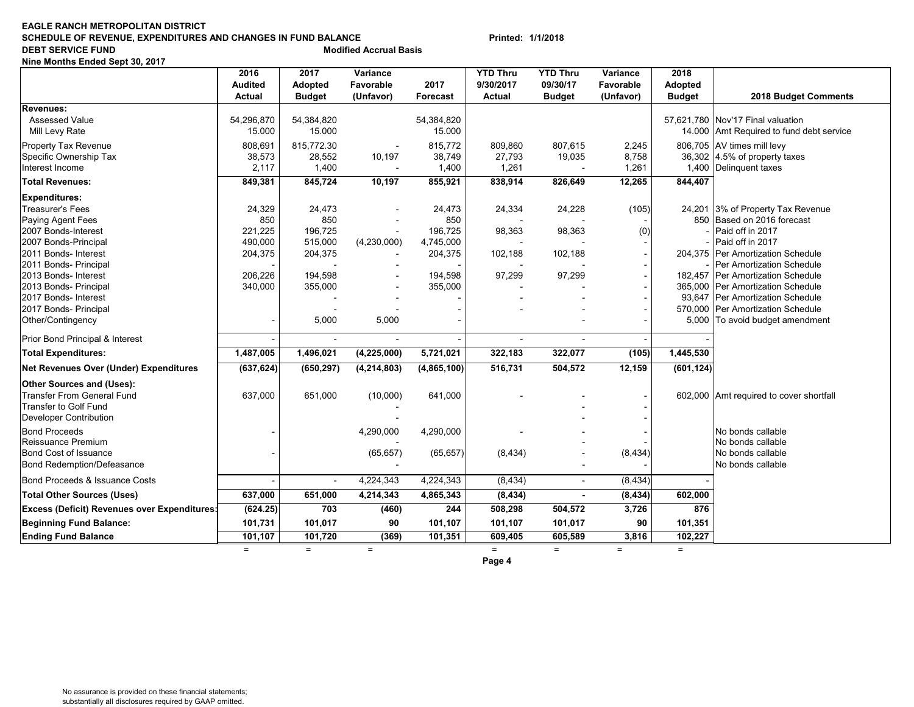#### **EAGLE RANCH METROPOLITAN DISTRICTSCHEDULE OF REVENUE, EXPENDITURES AND CHANGES IN FUND BALANCE Printed: 1/1/2018 DEBT SERVICE FUND**<br> **DEBT SERVICE FUND**

**Nine Months Ended Sept 30, 2017**

|                                                     | 2016           | 2017                     | Variance      |             | <b>YTD Thru</b>          | <b>YTD Thru</b> | Variance  | 2018           |                                          |
|-----------------------------------------------------|----------------|--------------------------|---------------|-------------|--------------------------|-----------------|-----------|----------------|------------------------------------------|
|                                                     | <b>Audited</b> | Adopted                  | Favorable     | 2017        | 9/30/2017                | 09/30/17        | Favorable | <b>Adopted</b> |                                          |
|                                                     | <b>Actual</b>  | <b>Budget</b>            | (Unfavor)     | Forecast    | Actual                   | <b>Budget</b>   | (Unfavor) | <b>Budget</b>  | 2018 Budget Comments                     |
| Revenues:                                           |                |                          |               |             |                          |                 |           |                |                                          |
| <b>Assessed Value</b>                               | 54,296,870     | 54,384,820               |               | 54,384,820  |                          |                 |           |                | 57,621,780 Nov'17 Final valuation        |
| Mill Levy Rate                                      | 15.000         | 15.000                   |               | 15.000      |                          |                 |           |                | 14.000 Amt Required to fund debt service |
| Property Tax Revenue                                | 808,691        | 815,772.30               |               | 815,772     | 809,860                  | 807,615         | 2,245     |                | 806,705 AV times mill levy               |
| Specific Ownership Tax                              | 38,573         | 28,552                   | 10,197        | 38,749      | 27,793                   | 19,035          | 8,758     |                | 36,302 $ 4.5\%$ of property taxes        |
| Interest Income                                     | 2,117          | 1,400                    |               | 1,400       | 1,261                    |                 | 1,261     |                | 1,400 Delinguent taxes                   |
| <b>Total Revenues:</b>                              | 849,381        | 845,724                  | 10,197        | 855,921     | 838,914                  | 826,649         | 12,265    | 844,407        |                                          |
| <b>Expenditures:</b>                                |                |                          |               |             |                          |                 |           |                |                                          |
| <b>Treasurer's Fees</b>                             | 24,329         | 24,473                   |               | 24,473      | 24,334                   | 24,228          | (105)     |                | 24,201 3% of Property Tax Revenue        |
| Paying Agent Fees                                   | 850            | 850                      |               | 850         |                          |                 |           |                | 850 Based on 2016 forecast               |
| 2007 Bonds-Interest                                 | 221,225        | 196,725                  |               | 196,725     | 98,363                   | 98,363          | (0)       |                | Paid off in 2017                         |
| 2007 Bonds-Principal                                | 490,000        | 515,000                  | (4,230,000)   | 4,745,000   |                          |                 |           |                | Paid off in 2017                         |
| 2011 Bonds- Interest                                | 204,375        | 204,375                  |               | 204,375     | 102,188                  | 102,188         |           |                | 204,375 Per Amortization Schedule        |
| 2011 Bonds- Principal                               |                |                          |               |             |                          |                 |           |                | Per Amortization Schedule                |
| 2013 Bonds- Interest                                | 206,226        | 194,598                  |               | 194,598     | 97,299                   | 97,299          |           |                | 182,457 Per Amortization Schedule        |
| 2013 Bonds- Principal                               | 340,000        | 355,000                  |               | 355,000     |                          |                 |           |                | 365,000 Per Amortization Schedule        |
| 2017 Bonds- Interest                                |                |                          |               |             |                          |                 |           |                | 93.647 Per Amortization Schedule         |
| 2017 Bonds- Principal                               |                |                          |               |             |                          |                 |           |                | 570,000 Per Amortization Schedule        |
| Other/Contingency                                   |                | 5,000                    | 5,000         |             |                          |                 |           |                | 5,000 To avoid budget amendment          |
| Prior Bond Principal & Interest                     |                |                          |               |             | $\overline{\phantom{a}}$ |                 |           |                |                                          |
| <b>Total Expenditures:</b>                          | 1,487,005      | 1,496,021                | (4, 225, 000) | 5,721,021   | 322,183                  | 322,077         | (105)     | 1,445,530      |                                          |
| <b>Net Revenues Over (Under) Expenditures</b>       | (637, 624)     | (650, 297)               | (4, 214, 803) | (4,865,100) | 516,731                  | 504,572         | 12,159    | (601, 124)     |                                          |
| <b>Other Sources and (Uses):</b>                    |                |                          |               |             |                          |                 |           |                |                                          |
| <b>Transfer From General Fund</b>                   | 637,000        | 651,000                  | (10,000)      | 641,000     |                          |                 |           |                | 602,000 Amt required to cover shortfall  |
| <b>Transfer to Golf Fund</b>                        |                |                          |               |             |                          |                 |           |                |                                          |
| <b>Developer Contribution</b>                       |                |                          |               |             |                          |                 |           |                |                                          |
| <b>Bond Proceeds</b>                                |                |                          | 4,290,000     | 4,290,000   |                          |                 |           |                | No bonds callable                        |
| Reissuance Premium                                  |                |                          |               |             |                          |                 |           |                | No bonds callable                        |
| <b>Bond Cost of Issuance</b>                        |                |                          | (65, 657)     | (65, 657)   | (8, 434)                 |                 | (8, 434)  |                | No bonds callable                        |
| <b>Bond Redemption/Defeasance</b>                   |                |                          |               |             |                          |                 |           |                | No bonds callable                        |
| Bond Proceeds & Issuance Costs                      |                | $\overline{\phantom{a}}$ | 4,224,343     | 4,224,343   | (8, 434)                 | $\sim$          | (8, 434)  |                |                                          |
| <b>Total Other Sources (Uses)</b>                   | 637,000        | 651,000                  | 4,214,343     | 4,865,343   | (8, 434)                 |                 | (8, 434)  | 602,000        |                                          |
| <b>Excess (Deficit) Revenues over Expenditures:</b> | (624.25)       | 703                      | (460)         | 244         | 508,298                  | 504,572         | 3,726     | 876            |                                          |
| <b>Beginning Fund Balance:</b>                      | 101,731        | 101,017                  | 90            | 101,107     | 101,107                  | 101,017         | 90        | 101,351        |                                          |
| <b>Ending Fund Balance</b>                          | 101,107        | 101,720                  | (369)         | 101,351     | 609,405                  | 605,589         | 3,816     | 102,227        |                                          |
|                                                     | $=$            | $=$                      | $=$           |             | $=$                      | $=$             | $=$       | $=$            |                                          |
|                                                     |                |                          |               |             |                          |                 |           |                |                                          |

**Page 4**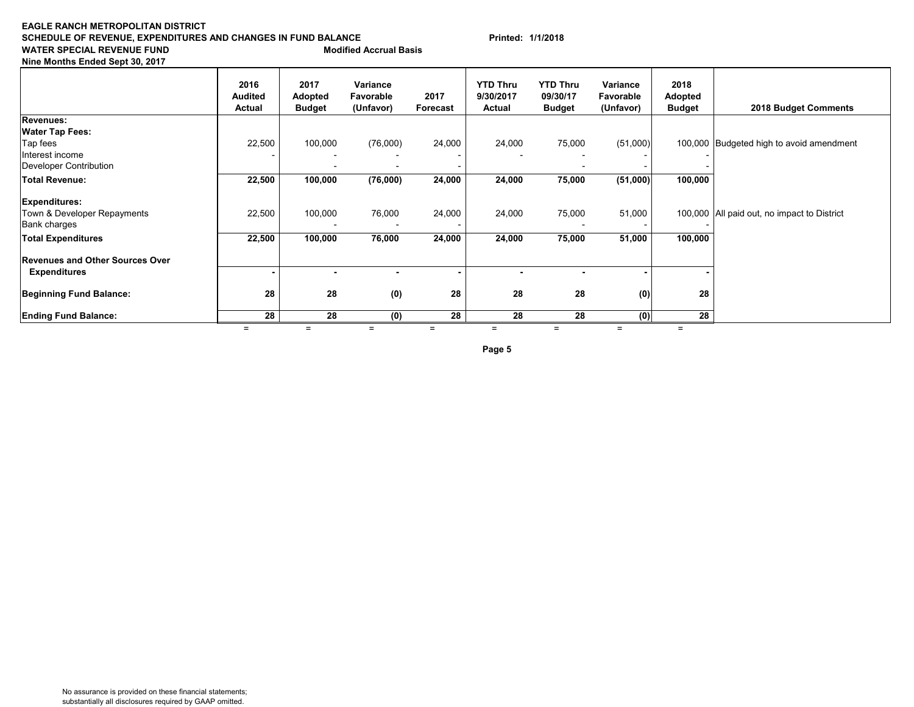#### **EAGLE RANCH METROPOLITAN DISTRICTSCHEDULE OF REVENUE, EXPENDITURES AND CHANGES IN FUND BALANCE Printed: 1/1/2018 WATER SPECIAL REVENUE FUND Modified Accrual Basis**

**Nine Months Ended Sept 30, 2017**

|                                        | 2016<br><b>Audited</b><br>Actual | 2017<br>Adopted<br><b>Budget</b> | Variance<br>Favorable<br>(Unfavor) | 2017<br>Forecast | <b>YTD Thru</b><br>9/30/2017<br>Actual | <b>YTD Thru</b><br>09/30/17<br><b>Budget</b> | Variance<br>Favorable<br>(Unfavor) | 2018<br>Adopted<br><b>Budget</b> | 2018 Budget Comments                        |
|----------------------------------------|----------------------------------|----------------------------------|------------------------------------|------------------|----------------------------------------|----------------------------------------------|------------------------------------|----------------------------------|---------------------------------------------|
| <b>Revenues:</b>                       |                                  |                                  |                                    |                  |                                        |                                              |                                    |                                  |                                             |
| <b>Water Tap Fees:</b>                 |                                  |                                  |                                    |                  |                                        |                                              |                                    |                                  |                                             |
| Tap fees                               | 22,500                           | 100,000                          | (76,000)                           | 24,000           | 24,000                                 | 75,000                                       | (51,000)                           |                                  | 100,000 Budgeted high to avoid amendment    |
| Interest income                        |                                  |                                  |                                    |                  |                                        |                                              |                                    |                                  |                                             |
| Developer Contribution                 |                                  |                                  |                                    |                  |                                        |                                              |                                    |                                  |                                             |
| Total Revenue:                         | 22,500                           | 100,000                          | (76,000)                           | 24,000           | 24,000                                 | 75,000                                       | (51,000)                           | 100,000                          |                                             |
| <b>Expenditures:</b>                   |                                  |                                  |                                    |                  |                                        |                                              |                                    |                                  |                                             |
| Town & Developer Repayments            | 22,500                           | 100,000                          | 76,000                             | 24,000           | 24,000                                 | 75,000                                       | 51,000                             |                                  | 100,000 All paid out, no impact to District |
| <b>Bank charges</b>                    |                                  |                                  |                                    |                  |                                        |                                              |                                    |                                  |                                             |
| <b>Total Expenditures</b>              | 22,500                           | 100,000                          | 76,000                             | 24,000           | 24,000                                 | 75,000                                       | 51,000                             | 100,000                          |                                             |
| <b>Revenues and Other Sources Over</b> |                                  |                                  |                                    |                  |                                        |                                              |                                    |                                  |                                             |
| <b>Expenditures</b>                    |                                  |                                  | ٠                                  |                  |                                        |                                              |                                    |                                  |                                             |
| <b>Beginning Fund Balance:</b>         | 28                               | 28                               | (0)                                | 28               | 28                                     | 28                                           | (0)                                | 28                               |                                             |
| <b>Ending Fund Balance:</b>            | 28                               | 28                               | (0)                                | 28               | 28                                     | 28                                           | (0)                                | 28                               |                                             |
|                                        |                                  | $=$                              | $=$                                | Ξ                | $=$                                    |                                              | $=$                                |                                  |                                             |

**Page 5**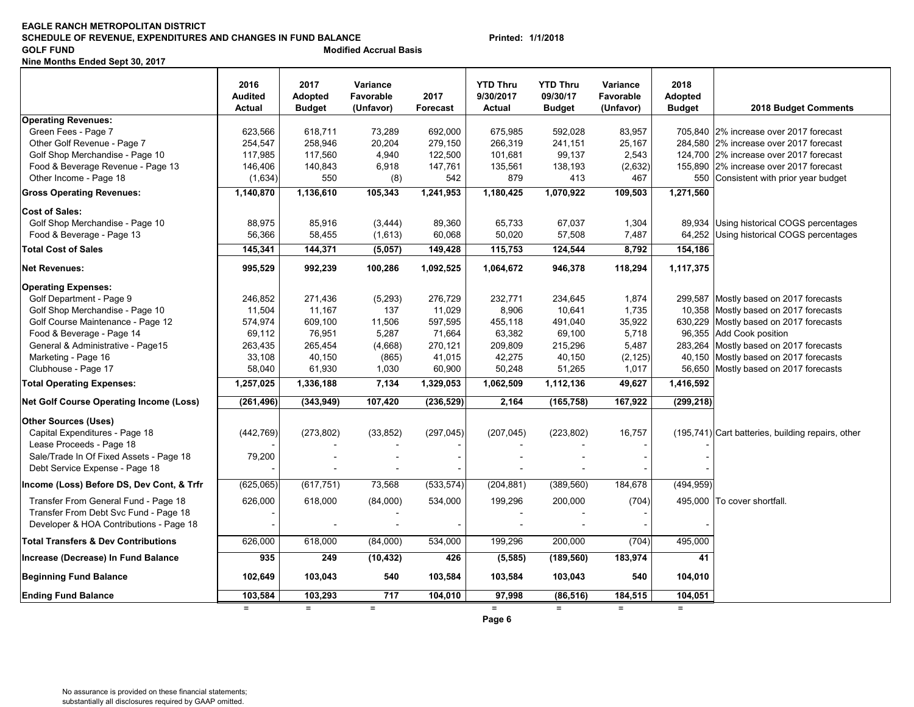#### **EAGLE RANCH METROPOLITAN DISTRICTSCHEDULE OF REVENUE, EXPENDITURES AND CHANGES IN FUND BALANCE Printed: 1/1/2018 GOLF FUND COLF ACCRUATE ACCRUATE ACCRUATE ACCRUATE ACCRUATE ACCRUATE ACCRUATE ACCRUATE ACCRUATE ACCRUATE ACCRUATE ACCRUATE ACCRUATE ACCRUATE ACCRUATE ACCRUATE ACCRUATE ACCRUATE ACCRUATE ACCRUATE ACCRUATE ACCRUATE ACCRUA**

**Nine Months Ended Sept 30, 2017**

|                                                | 2016<br><b>Audited</b><br><b>Actual</b> | 2017<br>Adopted<br><b>Budget</b> | Variance<br>Favorable<br>(Unfavor) | 2017<br>Forecast | <b>YTD Thru</b><br>9/30/2017<br><b>Actual</b> | <b>YTD Thru</b><br>09/30/17<br><b>Budget</b> | Variance<br>Favorable<br>(Unfavor) | 2018<br><b>Adopted</b><br><b>Budget</b> | 2018 Budget Comments                              |
|------------------------------------------------|-----------------------------------------|----------------------------------|------------------------------------|------------------|-----------------------------------------------|----------------------------------------------|------------------------------------|-----------------------------------------|---------------------------------------------------|
| <b>Operating Revenues:</b>                     |                                         |                                  |                                    |                  |                                               |                                              |                                    |                                         |                                                   |
| Green Fees - Page 7                            | 623,566                                 | 618,711                          | 73,289                             | 692,000          | 675,985                                       | 592,028                                      | 83,957                             |                                         | 705,840 2% increase over 2017 forecast            |
| Other Golf Revenue - Page 7                    | 254,547                                 | 258,946                          | 20,204                             | 279,150          | 266,319                                       | 241,151                                      | 25,167                             |                                         | 284,580 2% increase over 2017 forecast            |
| Golf Shop Merchandise - Page 10                | 117,985                                 | 117,560                          | 4,940                              | 122,500          | 101,681                                       | 99,137                                       | 2,543                              |                                         | 124,700 2% increase over 2017 forecast            |
| Food & Beverage Revenue - Page 13              | 146,406                                 | 140,843                          | 6,918                              | 147,761          | 135,561                                       | 138,193                                      | (2,632)                            |                                         | 155,890 2% increase over 2017 forecast            |
| Other Income - Page 18                         | (1,634)                                 | 550                              | (8)                                | 542              | 879                                           | 413                                          | 467                                |                                         | 550 Consistent with prior year budget             |
| <b>Gross Operating Revenues:</b>               | 1,140,870                               | 1,136,610                        | 105,343                            | 1,241,953        | 1,180,425                                     | 1,070,922                                    | 109,503                            | 1,271,560                               |                                                   |
| <b>Cost of Sales:</b>                          |                                         |                                  |                                    |                  |                                               |                                              |                                    |                                         |                                                   |
| Golf Shop Merchandise - Page 10                | 88,975                                  | 85,916                           | (3, 444)                           | 89,360           | 65,733                                        | 67,037                                       | 1,304                              |                                         | 89,934 Using historical COGS percentages          |
| Food & Beverage - Page 13                      | 56,366                                  | 58,455                           | (1,613)                            | 60,068           | 50,020                                        | 57,508                                       | 7,487                              |                                         | 64,252 Using historical COGS percentages          |
| <b>Total Cost of Sales</b>                     | 145,341                                 | 144,371                          | (5,057)                            | 149,428          | 115,753                                       | 124,544                                      | 8,792                              | 154,186                                 |                                                   |
| <b>Net Revenues:</b>                           | 995,529                                 | 992,239                          | 100,286                            | 1,092,525        | 1,064,672                                     | 946,378                                      | 118,294                            | 1,117,375                               |                                                   |
| <b>Operating Expenses:</b>                     |                                         |                                  |                                    |                  |                                               |                                              |                                    |                                         |                                                   |
| Golf Department - Page 9                       | 246,852                                 | 271,436                          | (5,293)                            | 276,729          | 232,771                                       | 234,645                                      | 1,874                              |                                         | 299,587 Mostly based on 2017 forecasts            |
| Golf Shop Merchandise - Page 10                | 11,504                                  | 11,167                           | 137                                | 11,029           | 8,906                                         | 10,641                                       | 1,735                              |                                         | 10,358 Mostly based on 2017 forecasts             |
| Golf Course Maintenance - Page 12              | 574.974                                 | 609.100                          | 11,506                             | 597,595          | 455.118                                       | 491.040                                      | 35.922                             |                                         | 630,229 Mostly based on 2017 forecasts            |
| Food & Beverage - Page 14                      | 69.112                                  | 76,951                           | 5,287                              | 71.664           | 63.382                                        | 69.100                                       | 5.718                              |                                         | 96,355 Add Cook position                          |
| General & Administrative - Page15              | 263,435                                 | 265.454                          | (4,668)                            | 270,121          | 209,809                                       | 215,296                                      | 5.487                              |                                         | 283,264 Mostly based on 2017 forecasts            |
| Marketing - Page 16                            | 33,108                                  | 40,150                           | (865)                              | 41,015           | 42,275                                        | 40,150                                       | (2, 125)                           |                                         | 40,150 Mostly based on 2017 forecasts             |
| Clubhouse - Page 17                            | 58,040                                  | 61,930                           | 1,030                              | 60,900           | 50,248                                        | 51,265                                       | 1,017                              |                                         | 56,650 Mostly based on 2017 forecasts             |
| <b>Total Operating Expenses:</b>               | 1,257,025                               | 1,336,188                        | 7,134                              | 1,329,053        | 1,062,509                                     | 1,112,136                                    | 49,627                             | 1,416,592                               |                                                   |
| <b>Net Golf Course Operating Income (Loss)</b> | (261, 496)                              | (343, 949)                       | 107,420                            | (236, 529)       | 2,164                                         | (165, 758)                                   | 167,922                            | (299, 218)                              |                                                   |
| <b>Other Sources (Uses)</b>                    |                                         |                                  |                                    |                  |                                               |                                              |                                    |                                         |                                                   |
| Capital Expenditures - Page 18                 | (442, 769)                              | (273, 802)                       | (33, 852)                          | (297, 045)       | (207, 045)                                    | (223, 802)                                   | 16,757                             |                                         | (195,741) Cart batteries, building repairs, other |
| Lease Proceeds - Page 18                       |                                         |                                  |                                    |                  |                                               |                                              |                                    |                                         |                                                   |
| Sale/Trade In Of Fixed Assets - Page 18        | 79,200                                  |                                  |                                    |                  |                                               |                                              |                                    |                                         |                                                   |
| Debt Service Expense - Page 18                 |                                         |                                  |                                    |                  |                                               |                                              |                                    |                                         |                                                   |
| Income (Loss) Before DS, Dev Cont, & Trfr      | (625,065)                               | (617, 751)                       | 73,568                             | (533, 574)       | (204, 881)                                    | (389, 560)                                   | 184,678                            | (494, 959)                              |                                                   |
| Transfer From General Fund - Page 18           | 626,000                                 | 618,000                          | (84,000)                           | 534,000          | 199,296                                       | 200,000                                      | (704)                              |                                         | 495,000 To cover shortfall.                       |
| Transfer From Debt Svc Fund - Page 18          |                                         |                                  |                                    |                  |                                               |                                              |                                    |                                         |                                                   |
| Developer & HOA Contributions - Page 18        |                                         | $\overline{\phantom{a}}$         |                                    |                  | $\overline{a}$                                |                                              |                                    |                                         |                                                   |
| <b>Total Transfers &amp; Dev Contributions</b> | 626,000                                 | 618,000                          | (84,000)                           | 534,000          | 199,296                                       | 200,000                                      | (704)                              | 495,000                                 |                                                   |
| Increase (Decrease) In Fund Balance            | 935                                     | 249                              | (10, 432)                          | 426              | (5, 585)                                      | (189, 560)                                   | 183,974                            | 41                                      |                                                   |
| <b>Beginning Fund Balance</b>                  | 102,649                                 | 103,043                          | 540                                | 103,584          | 103,584                                       | 103,043                                      | 540                                | 104,010                                 |                                                   |
| <b>Ending Fund Balance</b>                     | 103,584                                 | 103,293                          | 717                                | 104,010          | 97.998                                        | (86, 516)                                    | 184,515                            | 104,051                                 |                                                   |
|                                                | $=$                                     | $=$                              | $=$                                |                  | $=$<br>Page 6                                 | $=$                                          |                                    | $=$                                     |                                                   |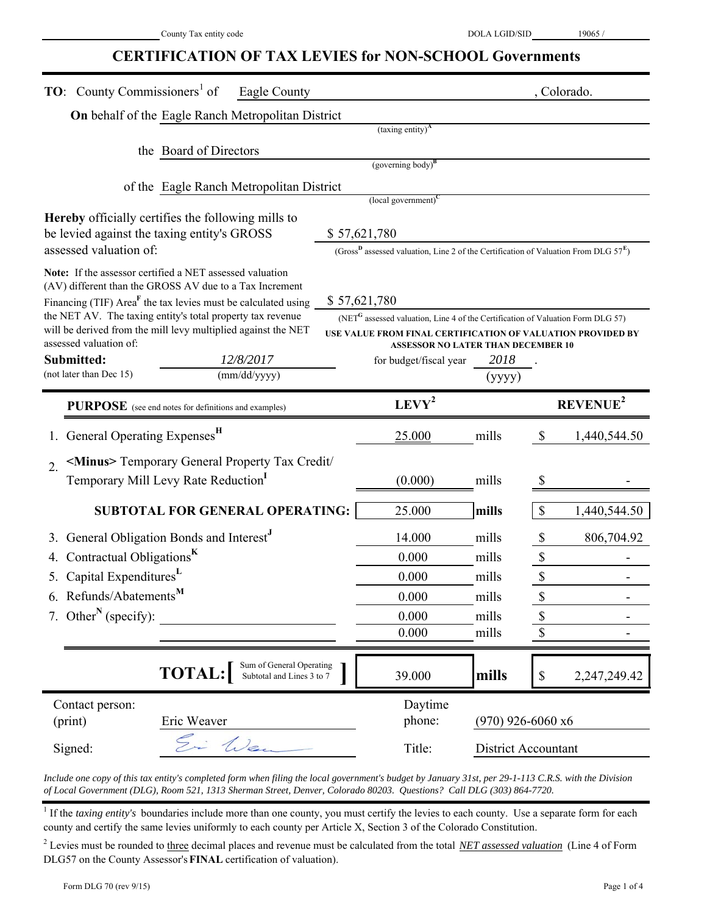#### **CERTIFICATION OF TAX LEVIES for NON-SCHOOL Governments**

| <b>TO:</b> County Commissioners <sup>1</sup> of<br>Eagle County                                                                         |                                                                                                             |                     | , Colorado.                               |
|-----------------------------------------------------------------------------------------------------------------------------------------|-------------------------------------------------------------------------------------------------------------|---------------------|-------------------------------------------|
| <b>On</b> behalf of the Eagle Ranch Metropolitan District                                                                               |                                                                                                             |                     |                                           |
|                                                                                                                                         | $(taxing entity)^{A}$                                                                                       |                     |                                           |
| the Board of Directors                                                                                                                  |                                                                                                             |                     |                                           |
|                                                                                                                                         | $(governing body)^B$                                                                                        |                     |                                           |
| of the Eagle Ranch Metropolitan District                                                                                                | $\left($ local government $\right)^{C}$                                                                     |                     |                                           |
| Hereby officially certifies the following mills to                                                                                      |                                                                                                             |                     |                                           |
| be levied against the taxing entity's GROSS                                                                                             | \$57,621,780                                                                                                |                     |                                           |
| assessed valuation of:                                                                                                                  | (Gross <sup>D</sup> assessed valuation, Line 2 of the Certification of Valuation From DLG $57^{\text{E}}$ ) |                     |                                           |
| Note: If the assessor certified a NET assessed valuation                                                                                |                                                                                                             |                     |                                           |
| (AV) different than the GROSS AV due to a Tax Increment                                                                                 |                                                                                                             |                     |                                           |
| Financing (TIF) Area <sup>F</sup> the tax levies must be calculated using<br>the NET AV. The taxing entity's total property tax revenue | \$57,621,780<br>(NET <sup>G</sup> assessed valuation, Line 4 of the Certification of Valuation Form DLG 57) |                     |                                           |
| will be derived from the mill levy multiplied against the NET                                                                           | USE VALUE FROM FINAL CERTIFICATION OF VALUATION PROVIDED BY                                                 |                     |                                           |
| assessed valuation of:                                                                                                                  | <b>ASSESSOR NO LATER THAN DECEMBER 10</b>                                                                   |                     |                                           |
| Submitted:<br>12/8/2017                                                                                                                 | for budget/fiscal year                                                                                      | 2018                |                                           |
| (not later than Dec 15)<br>(mm/dd/yyyy)                                                                                                 |                                                                                                             | (yyyy)              |                                           |
| PURPOSE (see end notes for definitions and examples)                                                                                    | $LEVY^2$                                                                                                    |                     | REVENUE <sup>2</sup>                      |
| General Operating Expenses <sup>H</sup>                                                                                                 | 25.000                                                                                                      | mills               | 1,440,544.50<br>\$                        |
| <minus> Temporary General Property Tax Credit/<br/><math>\overline{2}</math>.</minus>                                                   |                                                                                                             |                     |                                           |
| Temporary Mill Levy Rate Reduction                                                                                                      | (0.000)                                                                                                     | mills               | \$                                        |
| <b>SUBTOTAL FOR GENERAL OPERATING:</b>                                                                                                  | 25.000                                                                                                      | mills               | $\boldsymbol{\mathsf{S}}$<br>1,440,544.50 |
| General Obligation Bonds and Interest <sup>J</sup>                                                                                      | 14.000                                                                                                      | mills               | \$<br>806,704.92                          |
| Contractual Obligations <sup>K</sup>                                                                                                    | 0.000                                                                                                       | mills               | \$                                        |
| 5. Capital ExpendituresL                                                                                                                | 0.000                                                                                                       | mills               | \$                                        |
| 6. Refunds/Abatements <sup>M</sup>                                                                                                      | 0.000                                                                                                       | mills               | \$                                        |
| 7. Other <sup>N</sup> (specify):                                                                                                        | 0.000                                                                                                       | mills               | \$                                        |
|                                                                                                                                         | 0.000                                                                                                       | mills               | \$                                        |
| Sum of General Operating                                                                                                                |                                                                                                             |                     |                                           |
| <b>TOTAL:</b><br>Subtotal and Lines 3 to 7                                                                                              | 39.000                                                                                                      | mills               | 2,247,249.42<br>$\mathbb{S}$              |
| Contact person:                                                                                                                         | Daytime                                                                                                     |                     |                                           |
| (print)<br>Eric Weaver                                                                                                                  | phone:                                                                                                      | $(970)$ 926-6060 x6 |                                           |
| Ei Wen<br>Signed:                                                                                                                       | Title:                                                                                                      | District Accountant |                                           |

*Include one copy of this tax entity's completed form when filing the local government's budget by January 31st, per 29-1-113 C.R.S. with the Division of Local Government (DLG), Room 521, 1313 Sherman Street, Denver, Colorado 80203. Questions? Call DLG (303) 864-7720.*

<sup>1</sup> If the *taxing entity's* boundaries include more than one county, you must certify the levies to each county. Use a separate form for each county and certify the same levies uniformly to each county per Article X, Section 3 of the Colorado Constitution.

<sup>2</sup> Levies must be rounded to three decimal places and revenue must be calculated from the total *NET assessed valuation* (Line 4 of Form DLG57 on the County Assessor's **FINAL** certification of valuation).